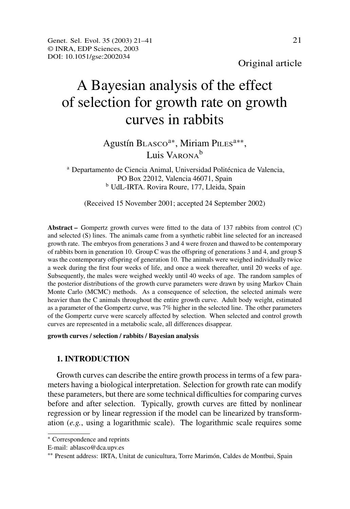Original article

# A Bayesian analysis of the effect of selection for growth rate on growth curves in rabbits

# Agustín BLASCO<sup>a\*</sup>, Miriam PILES<sup>a\*\*</sup>, Luis Varona<sup>b</sup>

<sup>a</sup> Departamento de Ciencia Animal, Universidad Politécnica de Valencia, PO Box 22012, Valencia 46071, Spain <sup>b</sup> UdL-IRTA. Rovira Roure, 177, Lleida, Spain

(Received 15 November 2001; accepted 24 September 2002)

**Abstract –** Gompertz growth curves were fitted to the data of 137 rabbits from control (C) and selected (S) lines. The animals came from a synthetic rabbit line selected for an increased growth rate. The embryos from generations 3 and 4 were frozen and thawed to be contemporary of rabbits born in generation 10. Group C was the offspring of generations 3 and 4, and group S was the contemporary offspring of generation 10. The animals were weighed individually twice a week during the first four weeks of life, and once a week thereafter, until 20 weeks of age. Subsequently, the males were weighed weekly until 40 weeks of age. The random samples of the posterior distributions of the growth curve parameters were drawn by using Markov Chain Monte Carlo (MCMC) methods. As a consequence of selection, the selected animals were heavier than the C animals throughout the entire growth curve. Adult body weight, estimated as a parameter of the Gompertz curve, was 7% higher in the selected line. The other parameters of the Gompertz curve were scarcely affected by selection. When selected and control growth curves are represented in a metabolic scale, all differences disappear.

#### **growth curves / selection / rabbits / Bayesian analysis**

#### **1. INTRODUCTION**

Growth curves can describe the entire growth processin terms of a few parameters having a biological interpretation. Selection for growth rate can modify these parameters, but there are some technical difficulties for comparing curves before and after selection. Typically, growth curves are fitted by nonlinear regression or by linear regression if the model can be linearized by transformation (*e.g.*, using a logarithmic scale). The logarithmic scale requires some

<sup>∗</sup> Correspondence and reprints

E-mail: ablasco@dca.upv.es

<sup>∗∗</sup> Present address: IRTA, Unitat de cunicultura, Torre Marimón, Caldes de Montbui, Spain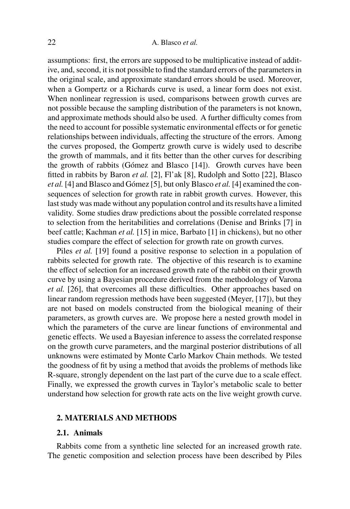# 22 A. Blasco *et al.*

assumptions: first, the errors are supposed to be multiplicative instead of additive, and, second, it is not possible to find the standard errors of the parameters in the original scale, and approximate standard errors should be used. Moreover, when a Gompertz or a Richards curve is used, a linear form does not exist. When nonlinear regression is used, comparisons between growth curves are not possible because the sampling distribution of the parameters is not known, and approximate methods should also be used. A further difficulty comes from the need to account for possible systematic environmental effects or for genetic relationships between individuals, affecting the structure of the errors. Among the curves proposed, the Gompertz growth curve is widely used to describe the growth of mammals, and it fits better than the other curves for describing the growth of rabbits (Gómez and Blasco [14]). Growth curves have been fitted in rabbits by Baron *et al.* [2], Fl'ak [8], Rudolph and Sotto [22], Blasco *et al.* [4] and Blasco and Gómez [5], but only Blasco *et al.* [4] examined the consequences of selection for growth rate in rabbit growth curves. However, this last study was made without any population control and its results have a limited validity. Some studies draw predictions about the possible correlated response to selection from the heritabilities and correlations (Denise and Brinks [7] in beef cattle; Kachman *et al.* [15] in mice, Barbato [1] in chickens), but no other studies compare the effect of selection for growth rate on growth curves.

Piles *et al.* [19] found a positive response to selection in a population of rabbits selected for growth rate. The objective of this research is to examine the effect of selection for an increased growth rate of the rabbit on their growth curve by using a Bayesian procedure derived from the methodology of Varona *et al.* [26], that overcomes all these difficulties. Other approaches based on linear random regression methods have been suggested (Meyer, [17]), but they are not based on models constructed from the biological meaning of their parameters, as growth curves are. We propose here a nested growth model in which the parameters of the curve are linear functions of environmental and genetic effects. We used a Bayesian inference to assess the correlated response on the growth curve parameters, and the marginal posterior distributions of all unknowns were estimated by Monte Carlo Markov Chain methods. We tested the goodness of fit by using a method that avoids the problems of methods like R-square, strongly dependent on the last part of the curve due to a scale effect. Finally, we expressed the growth curves in Taylor's metabolic scale to better understand how selection for growth rate acts on the live weight growth curve.

# **2. MATERIALS AND METHODS**

#### **2.1. Animals**

Rabbits come from a synthetic line selected for an increased growth rate. The genetic composition and selection process have been described by Piles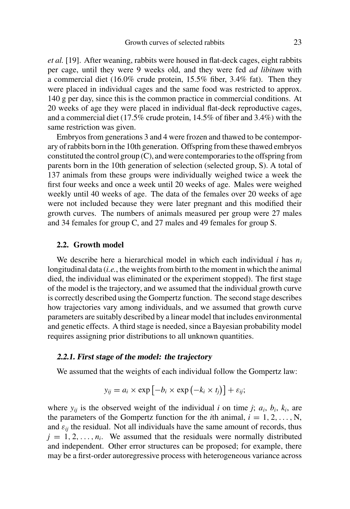*et al.* [19]. After weaning, rabbits were housed in flat-deck cages, eight rabbits per cage, until they were 9 weeks old, and they were fed *ad libitum* with a commercial diet (16.0% crude protein, 15.5% fiber, 3.4% fat). Then they were placed in individual cages and the same food was restricted to approx. 140 g per day, since this is the common practice in commercial conditions. At 20 weeks of age they were placed in individual flat-deck reproductive cages, and a commercial diet (17.5% crude protein, 14.5% of fiber and 3.4%) with the same restriction was given.

Embryos from generations 3 and 4 were frozen and thawed to be contemporary ofrabbits born in the 10th generation. Offspring from these thawed embryos constituted the control group  $(C)$ , and were contemporaries to the offspring from parents born in the 10th generation of selection (selected group, S). A total of 137 animals from these groups were individually weighed twice a week the first four weeks and once a week until 20 weeks of age. Males were weighed weekly until 40 weeks of age. The data of the females over 20 weeks of age were not included because they were later pregnant and this modified their growth curves. The numbers of animals measured per group were 27 males and 34 females for group C, and 27 males and 49 females for group S.

#### **2.2. Growth model**

We describe here a hierarchical model in which each individual *i* has *n<sup>i</sup>* longitudinal data *(i.e.*, the weights from birth to the moment in which the animal died, the individual was eliminated or the experiment stopped). The first stage of the model is the trajectory, and we assumed that the individual growth curve is correctly described using the Gompertz function. The second stage describes how trajectories vary among individuals, and we assumed that growth curve parameters are suitably described by a linear model that includes environmental and genetic effects. A third stage is needed, since a Bayesian probability model requires assigning prior distributions to all unknown quantities.

#### **2.2.1. First stage of the model: the trajectory**

We assumed that the weights of each individual follow the Gompertz law:

$$
y_{ij} = a_i \times \exp\left[-b_i \times \exp\left(-k_i \times t_j\right)\right] + \varepsilon_{ij};
$$

where  $y_{ij}$  is the observed weight of the individual *i* on time *j*;  $a_i$ ,  $b_i$ ,  $k_i$ , are the parameters of the Gompertz function for the *i*th animal,  $i = 1, 2, \ldots, N$ , and  $\varepsilon_{ii}$  the residual. Not all individuals have the same amount of records, thus  $j = 1, 2, \ldots, n_i$ . We assumed that the residuals were normally distributed and independent. Other error structures can be proposed; for example, there may be a first-order autoregressive process with heterogeneous variance across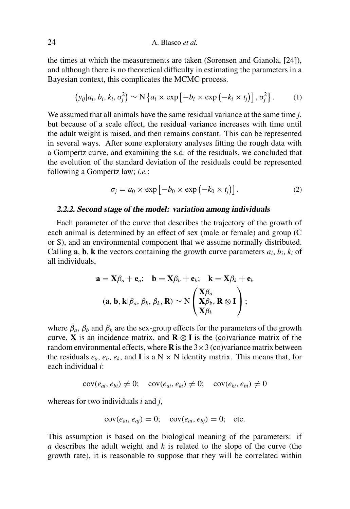the times at which the measurements are taken (Sorensen and Gianola, [24]), and although there is no theoretical difficulty in estimating the parameters in a Bayesian context, this complicates the MCMC process.

$$
\left(y_{ij}|a_i, b_i, k_i, \sigma_j^2\right) \sim \mathcal{N}\left\{a_i \times \exp\left[-b_i \times \exp\left(-k_i \times t_j\right)\right], \sigma_j^2\right\}.
$$
 (1)

We assumed that all animals have the same residual variance at the same time *j*, but because of a scale effect, the residual variance increases with time until the adult weight is raised, and then remains constant. This can be represented in several ways. After some exploratory analyses fitting the rough data with a Gompertz curve, and examining the s.d. of the residuals, we concluded that the evolution of the standard deviation of the residuals could be represented following a Gompertz law; *i.e.*:

$$
\sigma_j = a_0 \times \exp\left[-b_0 \times \exp\left(-k_0 \times t_j\right)\right].\tag{2}
$$

#### **2.2.2. Second stage of the model: variation among individuals**

Each parameter of the curve that describes the trajectory of the growth of each animal is determined by an effect of sex (male or female) and group (C or S), and an environmental component that we assume normally distributed. Calling  $\mathbf{a}$ ,  $\mathbf{b}$ ,  $\mathbf{k}$  the vectors containing the growth curve parameters  $a_i$ ,  $b_i$ ,  $k_i$  of all individuals,

$$
\mathbf{a} = \mathbf{X}\beta_a + \mathbf{e}_a; \quad \mathbf{b} = \mathbf{X}\beta_b + \mathbf{e}_b; \quad \mathbf{k} = \mathbf{X}\beta_k + \mathbf{e}_k
$$
\n
$$
(\mathbf{a}, \mathbf{b}, \mathbf{k} | \beta_a, \beta_b, \beta_k, \mathbf{R}) \sim N \begin{pmatrix} \mathbf{X}\beta_a \\ \mathbf{X}\beta_b, \mathbf{R} \otimes \mathbf{I} \\ \mathbf{X}\beta_k \end{pmatrix};
$$

where  $\beta_a$ ,  $\beta_b$  and  $\beta_k$  are the sex-group effects for the parameters of the growth curve, **X** is an incidence matrix, and **R**  $\otimes$  **I** is the (co)variance matrix of the random environmental effects, where  $\bf{R}$  is the  $3 \times 3$  (co)variance matrix between the residuals  $e_a$ ,  $e_b$ ,  $e_k$ , and **I** is a N  $\times$  N identity matrix. This means that, for each individual *i*:

$$
cov(e_{ai}, e_{bi}) \neq 0; \quad cov(e_{ai}, e_{ki}) \neq 0; \quad cov(e_{ki}, e_{bi}) \neq 0
$$

whereas for two individuals *i* and *j*,

$$
cov(e_{ai}, e_{aj}) = 0; \quad cov(e_{ai}, e_{bj}) = 0; \quad etc.
$$

This assumption is based on the biological meaning of the parameters: if *a* describes the adult weight and *k* is related to the slope of the curve (the growth rate), it is reasonable to suppose that they will be correlated within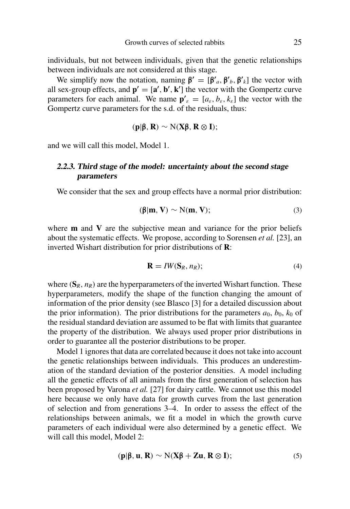individuals, but not between individuals, given that the genetic relationships between individuals are not considered at this stage.

We simplify now the notation, naming  $\beta' = [\beta'_{a}, \beta'_{b}, \beta'_{k}]$  the vector with all sex-group effects, and  $\mathbf{p}' = [\mathbf{a}', \mathbf{b}', \mathbf{k}']$  the vector with the Gompertz curve parameters for each animal. We name  $\mathbf{p}'_s = [a_s, b_s, k_s]$  the vector with the Gompertz curve parameters for the s.d. of the residuals, thus:

$$
(p|\beta, R) \sim N(X\beta, R \otimes I);
$$

and we will call this model, Model 1.

# **2.2.3. Third stage of the model: uncertainty about the second stage parameters**

We consider that the sex and group effects have a normal prior distribution:

$$
(\beta | m, V) \sim N(m, V); \tag{3}
$$

where **m** and **V** are the subjective mean and variance for the prior beliefs about the systematic effects. We propose, according to Sorensen *et al.* [23], an inverted Wishart distribution for prior distributions of **R**:

$$
\mathbf{R} = I W(\mathbf{S}_R, n_R); \tag{4}
$$

where  $(S_R, n_R)$  are the hyperparameters of the inverted Wishart function. These hyperparameters, modify the shape of the function changing the amount of information of the prior density (see Blasco [3] for a detailed discussion about the prior information). The prior distributions for the parameters  $a_0$ ,  $b_0$ ,  $k_0$  of the residual standard deviation are assumed to be flat with limits that guarantee the property of the distribution. We always used proper prior distributions in order to guarantee all the posterior distributions to be proper.

Model 1 ignores that data are correlated because it does not take into account the genetic relationships between individuals. This produces an underestimation of the standard deviation of the posterior densities. A model including all the genetic effects of all animals from the first generation of selection has been proposed by Varona *et al.* [27] for dairy cattle. We cannot use this model here because we only have data for growth curves from the last generation of selection and from generations 3–4. In order to assess the effect of the relationships between animals, we fit a model in which the growth curve parameters of each individual were also determined by a genetic effect. We will call this model. Model 2:

$$
(\mathbf{p}|\boldsymbol{\beta}, \mathbf{u}, \mathbf{R}) \sim \mathcal{N}(\mathbf{X}\boldsymbol{\beta} + \mathbf{Z}\mathbf{u}, \mathbf{R} \otimes \mathbf{I});
$$
\n<sup>(5)</sup>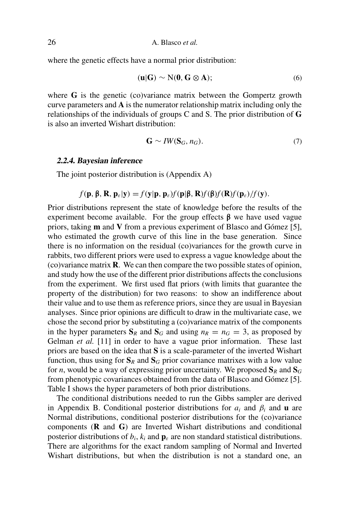where the genetic effects have a normal prior distribution:

$$
(\mathbf{u}|\mathbf{G}) \sim \mathcal{N}(\mathbf{0}, \mathbf{G} \otimes \mathbf{A});\tag{6}
$$

where **G** is the genetic (co)variance matrix between the Gompertz growth curve parameters and **A** is the numerator relationship matrix including only the relationships of the individuals of groups C and S. The prior distribution of **G** is also an inverted Wishart distribution:

$$
\mathbf{G} \sim \text{IW}(\mathbf{S}_G, n_G). \tag{7}
$$

#### **2.2.4. Bayesian inference**

The joint posterior distribution is (Appendix A)

$$
f(\mathbf{p}, \boldsymbol{\beta}, \mathbf{R}, \mathbf{p}_{\varepsilon}|\mathbf{y}) = f(\mathbf{y}|\mathbf{p}, \mathbf{p}_{\varepsilon}) f(\mathbf{p}|\boldsymbol{\beta}, \mathbf{R}) f(\boldsymbol{\beta}) f(\mathbf{R}) f(\mathbf{p}_{\varepsilon}) / f(\mathbf{y}).
$$

Prior distributions represent the state of knowledge before the results of the experiment become available. For the group effects  $\beta$  we have used vague priors, taking **m** and **V** from a previous experiment of Blasco and Gómez [5], who estimated the growth curve of this line in the base generation. Since there is no information on the residual (co)variances for the growth curve in rabbits, two different priors were used to express a vague knowledge about the (co)variance matrix **R**. We can then compare the two possible states of opinion, and study how the use of the different prior distributions affects the conclusions from the experiment. We first used flat priors (with limits that guarantee the property of the distribution) for two reasons: to show an indifference about their value and to use them as reference priors, since they are usual in Bayesian analyses. Since prior opinions are difficult to draw in the multivariate case, we chose the second prior by substituting a (co)variance matrix of the components in the hyper parameters  $S_R$  and  $S_G$  and using  $n_R = n_G = 3$ , as proposed by Gelman *et al.* [11] in order to have a vague prior information. These last priors are based on the idea that **S** is a scale-parameter of the inverted Wishart function, thus using for  $S_R$  and  $S_G$  prior covariance matrixes with a low value for *n*, would be a way of expressing prior uncertainty. We proposed  $S_R$  and  $S_G$ from phenotypic covariances obtained from the data of Blasco and Gómez [5]. Table I shows the hyper parameters of both prior distributions.

The conditional distributions needed to run the Gibbs sampler are derived in Appendix B. Conditional posterior distributions for *a<sup>i</sup>* and β*<sup>i</sup>* and **u** are Normal distributions, conditional posterior distributions for the (co)variance components (**R** and **G**) are Inverted Wishart distributions and conditional posterior distributions of  $b_i$ ,  $k_i$  and  $\mathbf{p}_\varepsilon$  are non standard statistical distributions. There are algorithms for the exact random sampling of Normal and Inverted Wishart distributions, but when the distribution is not a standard one, an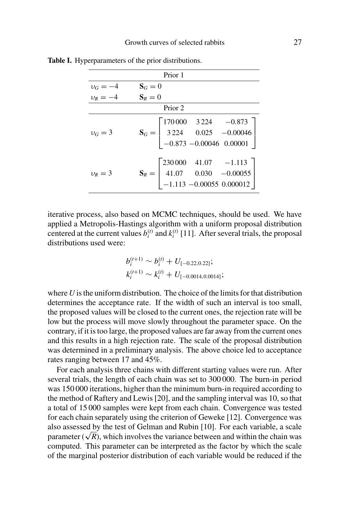| Prior 1                                      |                                                                                                                                       |  |  |  |  |  |  |  |
|----------------------------------------------|---------------------------------------------------------------------------------------------------------------------------------------|--|--|--|--|--|--|--|
|                                              |                                                                                                                                       |  |  |  |  |  |  |  |
| $v_G = -4$ $S_G = 0$<br>$v_R = -4$ $S_R = 0$ |                                                                                                                                       |  |  |  |  |  |  |  |
| Prior 2                                      |                                                                                                                                       |  |  |  |  |  |  |  |
| $v_G = 3$                                    | $\mathbf{S}_G = \begin{bmatrix} 170\,000 & 3\,224 & -0.873 \\ 3\,224 & 0.025 & -0.00046 \\ -0.873 & -0.00046 & 0.00001 \end{bmatrix}$ |  |  |  |  |  |  |  |
| $v_R = 3$                                    | $\mathbf{S}_R = \begin{bmatrix} 230\,000 & 41.07 & -1.113 \\ 41.07 & 0.030 & -0.00055 \\ -1.113 & -0.00055 & 0.000012 \end{bmatrix}$  |  |  |  |  |  |  |  |

**Table I.** Hyperparameters of the prior distributions.

iterative process, also based on MCMC techniques, should be used. We have applied a Metropolis-Hastings algorithm with a uniform proposal distribution centered at the current values  $b_i^{(t)}$  and  $k_i^{(t)}$  [11]. After several trials, the proposal distributions used were:

$$
b_i^{(t+1)} \sim b_i^{(t)} + U_{[-0.22, 0.22]};
$$
  

$$
k_i^{(t+1)} \sim k_i^{(t)} + U_{[-0.0014, 0.0014]};
$$

where  $U$  is the uniform distribution. The choice of the limits for that distribution determines the acceptance rate. If the width of such an interval is too small, the proposed values will be closed to the current ones, the rejection rate will be low but the process will move slowly throughout the parameter space. On the contrary, if it istoo large, the proposed values are far away from the current ones and this results in a high rejection rate. The scale of the proposal distribution was determined in a preliminary analysis. The above choice led to acceptance rates ranging between 17 and 45%.

For each analysis three chains with different starting values were run. After several trials, the length of each chain was set to 300 000. The burn-in period was 150 000 iterations, higher than the minimum burn-in required according to the method of Raftery and Lewis [20], and the sampling interval was 10, so that a total of 15 000 samples were kept from each chain. Convergence was tested for each chain separately using the criterion of Geweke [12]. Convergence was also assessed by the test of Gelman and Rubin [10]. For each variable, a scale parameter  $(\sqrt{R})$ , which involves the variance between and within the chain was computed. This parameter can be interpreted as the factor by which the scale of the marginal posterior distribution of each variable would be reduced if the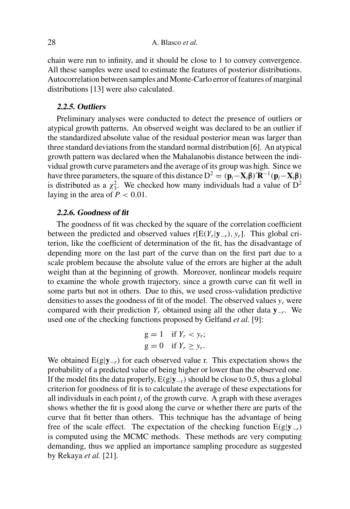chain were run to infinity, and it should be close to 1 to convey convergence. All these samples were used to estimate the features of posterior distributions. Autocorrelation between samples and Monte-Carlo error of features of marginal distributions [13] were also calculated.

# **2.2.5. Outliers**

Preliminary analyses were conducted to detect the presence of outliers or atypical growth patterns. An observed weight was declared to be an outlier if the standardized absolute value of the residual posterior mean was larger than three standard deviations from the standard normal distribution [6]. An atypical growth pattern was declared when the Mahalanobis distance between the individual growth curve parameters and the average of its group was high. Since we have three parameters, the square of this distance  $D^2 = (\mathbf{p}_i - \mathbf{X}_i\boldsymbol{\beta})'\mathbf{R}^{-1}(\mathbf{p}_i - \mathbf{X}_i\boldsymbol{\beta})$ is distributed as a  $\chi^2$ . We checked how many individuals had a value of  $D^2$ laying in the area of  $P < 0.01$ .

#### **2.2.6. Goodness of fit**

The goodness of fit was checked by the square of the correlation coefficient between the predicted and observed values  $r[E(Y_r | y_{-r}), y_r]$ . This global criterion, like the coefficient of determination of the fit, has the disadvantage of depending more on the last part of the curve than on the first part due to a scale problem because the absolute value of the errors are higher at the adult weight than at the beginning of growth. Moreover, nonlinear models require to examine the whole growth trajectory, since a growth curve can fit well in some parts but not in others. Due to this, we used cross-validation predictive densities to asses the goodness of fit of the model. The observed values  $y_r$  were compared with their prediction *Y<sup>r</sup>* obtained using all the other data **y**−*<sup>r</sup>* . We used one of the checking functions proposed by Gelfand *et al.* [9]:

$$
g = 1 \quad \text{if } Y_r < y_r; \\
 g = 0 \quad \text{if } Y_r \ge y_r.
$$

We obtained E(g|**y**−*<sup>r</sup>*) for each observed value r. This expectation shows the probability of a predicted value of being higher or lower than the observed one. If the model fits the data properly,  $E(g|\mathbf{y}_{-r})$  should be close to 0.5, thus a global criterion for goodness of fit is to calculate the average of these expectations for all individuals in each point  $t_i$  of the growth curve. A graph with these averages shows whether the fit is good along the curve or whether there are parts of the curve that fit better than others. This technique has the advantage of being free of the scale effect. The expectation of the checking function  $E(g|\mathbf{y}_{-r})$ is computed using the MCMC methods. These methods are very computing demanding, thus we applied an importance sampling procedure as suggested by Rekaya *et al.* [21].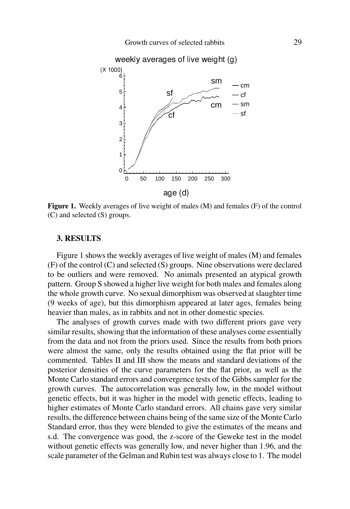

**Figure 1.** Weekly averages of live weight of males (M) and females (F) of the control (C) and selected (S) groups.

#### **3. RESULTS**

Figure 1 shows the weekly averages of live weight of males (M) and females (F) of the control (C) and selected (S) groups. Nine observations were declared to be outliers and were removed. No animals presented an atypical growth pattern. Group S showed a higher live weight for both males and females along the whole growth curve. No sexual dimorphism was observed at slaughter time (9 weeks of age), but this dimorphism appeared at later ages, females being heavier than males, as in rabbits and not in other domestic species.

The analyses of growth curves made with two different priors gave very similar results, showing that the information of these analyses come essentially from the data and not from the priors used. Since the results from both priors were almost the same, only the results obtained using the flat prior will be commented. Tables II and III show the means and standard deviations of the posterior densities of the curve parameters for the flat prior, as well as the Monte Carlo standard errors and convergence tests of the Gibbs sampler for the growth curves. The autocorrelation was generally low, in the model without genetic effects, but it was higher in the model with genetic effects, leading to higher estimates of Monte Carlo standard errors. All chains gave very similar results, the difference between chains being of the same size of the Monte Carlo Standard error, thus they were blended to give the estimates of the means and s.d. The convergence was good, the z-score of the Geweke test in the model without genetic effects was generally low, and never higher than 1.96, and the scale parameter of the Gelman and Rubin test was always close to 1. The model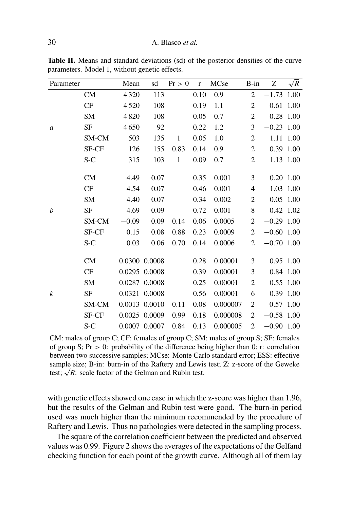| Parameter        |           | Mean             | sd            | Pr > 0       | $\mathbf r$ | MCse     | $B-in$                   | Ζ            | $\sqrt{R}$ |
|------------------|-----------|------------------|---------------|--------------|-------------|----------|--------------------------|--------------|------------|
| $\boldsymbol{a}$ | <b>CM</b> | 4320             | 113           |              | 0.10        | 0.9      | $\overline{c}$           | $-1.73$      | 1.00       |
|                  | CF        | 4520             | 108           |              | 0.19        | 1.1      | 2                        | $-0.61$      | 1.00       |
|                  | SM        | 4820             | 108           |              | 0.05        | 0.7      | $\overline{2}$           | $-0.28$      | 1.00       |
|                  | <b>SF</b> | 4650             | 92            |              | 0.22        | 1.2      | 3                        | $-0.23$ 1.00 |            |
|                  | SM-CM     | 503              | 135           | $\mathbf{1}$ | 0.05        | 1.0      | $\overline{c}$           | 1.11         | 1.00       |
|                  | SF-CF     | 126              | 155           | 0.83         | 0.14        | 0.9      | $\overline{2}$           |              | 0.39 1.00  |
|                  | $S-C$     | 315              | 103           | $\mathbf{1}$ | 0.09        | 0.7      | $\overline{c}$           |              | 1.13 1.00  |
| $\boldsymbol{b}$ | CM        | 4.49             | 0.07          |              | 0.35        | 0.001    | 3                        | $0.20$ 1.00  |            |
|                  | CF        | 4.54             | 0.07          |              | 0.46        | 0.001    | $\overline{\mathcal{L}}$ |              | 1.03 1.00  |
|                  | <b>SM</b> | 4.40             | 0.07          |              | 0.34        | 0.002    | 2                        | 0.05         | 1.00       |
|                  | SF        | 4.69             | 0.09          |              | 0.72        | 0.001    | 8                        | 0.42 1.02    |            |
|                  | SM-CM     | $-0.09$          | 0.09          | 0.14         | 0.06        | 0.0005   | $\overline{c}$           | $-0.29$ 1.00 |            |
|                  | SF-CF     | 0.15             | 0.08          | 0.88         | 0.23        | 0.0009   | $\overline{2}$           | $-0.60$ 1.00 |            |
|                  | $S-C$     | 0.03             | 0.06          | 0.70         | 0.14        | 0.0006   | $\overline{2}$           | $-0.70$ 1.00 |            |
| $\boldsymbol{k}$ |           |                  |               |              |             |          |                          |              |            |
|                  | CM        |                  | 0.0300 0.0008 |              | 0.28        | 0.00001  | 3                        | 0.95 1.00    |            |
|                  | CF        |                  | 0.0295 0.0008 |              | 0.39        | 0.00001  | 3                        | 0.84 1.00    |            |
|                  | <b>SM</b> |                  | 0.0287 0.0008 |              | 0.25        | 0.00001  | $\mathbf{2}$             | 0.55 1.00    |            |
|                  | SF        |                  | 0.0321 0.0008 |              | 0.56        | 0.00001  | 6                        | 0.39 1.00    |            |
|                  | SM-CM     | $-0.0013$ 0.0010 |               | 0.11         | 0.08        | 0.000007 | 2                        | $-0.57$ 1.00 |            |
|                  | SF-CF     |                  | 0.0025 0.0009 | 0.99         | 0.18        | 0.000008 | 2                        | $-0.58$ 1.00 |            |
|                  | S-C       |                  | 0.0007 0.0007 | 0.84         | 0.13        | 0.000005 | 2                        | $-0.90$ 1.00 |            |

**Table II.** Means and standard deviations (sd) of the posterior densities of the curve parameters. Model 1, without genetic effects.

CM: males of group C; CF: females of group C; SM: males of group S; SF: females of group S;  $Pr > 0$ : probability of the difference being higher than 0; r: correlation between two successive samples; MCse: Monte Carlo standard error; ESS: effective sample size; B-in: burn-in of the Raftery and Lewis test; Z: z-score of the Geweke test;  $\sqrt{R}$ : scale factor of the Gelman and Rubin test.

with genetic effects showed one case in which the z-score was higher than 1.96, but the results of the Gelman and Rubin test were good. The burn-in period used was much higher than the minimum recommended by the procedure of Raftery and Lewis. Thus no pathologies were detected in the sampling process.

The square of the correlation coefficient between the predicted and observed values was 0.99. Figure 2 shows the averages of the expectations of the Gelfand checking function for each point of the growth curve. Although all of them lay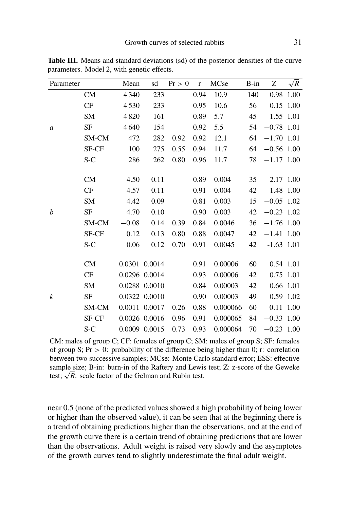| Parameter        |           | Mean             | sd            | Pr > 0 | $\mathbf r$ | MCse     | $B-in$ | Z            | $\sqrt{R}$ |
|------------------|-----------|------------------|---------------|--------|-------------|----------|--------|--------------|------------|
| $\boldsymbol{a}$ | <b>CM</b> | 4340             | 233           |        | 0.94        | 10.9     | 140    | 0.98         | 1.00       |
|                  | CF        | 4530             | 233           |        | 0.95        | 10.6     | 56     | $0.15$ 1.00  |            |
|                  | SM        | 4820             | 161           |        | 0.89        | 5.7      | 45     | $-1.55$ 1.01 |            |
|                  | <b>SF</b> | 4640             | 154           |        | 0.92        | 5.5      | 54     | $-0.78$ 1.01 |            |
|                  | SM-CM     | 472              | 282           | 0.92   | 0.92        | 12.1     | 64     | $-1.70$ 1.01 |            |
|                  | SF-CF     | 100              | 275           | 0.55   | 0.94        | 11.7     | 64     | $-0.56$ 1.00 |            |
|                  | $S-C$     | 286              | 262           | 0.80   | 0.96        | 11.7     | 78     | $-1.17$ 1.00 |            |
|                  |           |                  |               |        |             |          |        |              |            |
| b                | CM        | 4.50             | 0.11          |        | 0.89        | 0.004    | 35     | 2.17 1.00    |            |
|                  | CF        | 4.57             | 0.11          |        | 0.91        | 0.004    | 42     |              | 1.48 1.00  |
|                  | <b>SM</b> | 4.42             | 0.09          |        | 0.81        | 0.003    | 15     | $-0.05$ 1.02 |            |
|                  | SF        | 4.70             | 0.10          |        | 0.90        | 0.003    | 42     | $-0.23$ 1.02 |            |
|                  | SM-CM     | $-0.08$          | 0.14          | 0.39   | 0.84        | 0.0046   | 36     | $-1.76$ 1.00 |            |
|                  | SF-CF     | 0.12             | 0.13          | 0.80   | 0.88        | 0.0047   | 42     | $-1.41$ 1.00 |            |
|                  | $S-C$     | 0.06             | 0.12          | 0.70   | 0.91        | 0.0045   | 42     | $-1.63$ 1.01 |            |
|                  |           |                  |               |        |             |          |        |              |            |
| $\boldsymbol{k}$ | <b>CM</b> |                  | 0.0301 0.0014 |        | 0.91        | 0.00006  | 60     | 0.54 1.01    |            |
|                  | CF        |                  | 0.0296 0.0014 |        | 0.93        | 0.00006  | 42     | 0.75 1.01    |            |
|                  | <b>SM</b> |                  | 0.0288 0.0010 |        | 0.84        | 0.00003  | 42     | 0.66 1.01    |            |
|                  | SF        |                  | 0.0322 0.0010 |        | 0.90        | 0.00003  | 49     | 0.59 1.02    |            |
|                  | SM-CM     | $-0.0011$ 0.0017 |               | 0.26   | 0.88        | 0.000066 | 60     | $-0.11$ 1.00 |            |
|                  | SF-CF     |                  | 0.0026 0.0016 | 0.96   | 0.91        | 0.000065 | 84     | $-0.33$      | 1.00       |
|                  | $S-C$     |                  | 0.0009 0.0015 | 0.73   | 0.93        | 0.000064 | 70     | $-0.23$ 1.00 |            |

**Table III.** Means and standard deviations (sd) of the posterior densities of the curve parameters. Model 2, with genetic effects.

CM: males of group C; CF: females of group C; SM: males of group S; SF: females of group S;  $Pr > 0$ : probability of the difference being higher than 0; r: correlation between two successive samples; MCse: Monte Carlo standard error; ESS: effective sample size; B-in: burn-in of the Raftery and Lewis test; Z: z-score of the Geweke test;  $\sqrt{R}$ : scale factor of the Gelman and Rubin test.

near 0.5 (none of the predicted values showed a high probability of being lower or higher than the observed value), it can be seen that at the beginning there is a trend of obtaining predictions higher than the observations, and at the end of the growth curve there is a certain trend of obtaining predictions that are lower than the observations. Adult weight is raised very slowly and the asymptotes of the growth curves tend to slightly underestimate the final adult weight.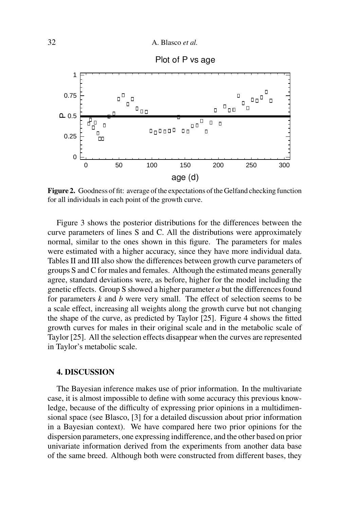

**Figure 2.** Goodness of fit: average of the expectations of the Gelfand checking function for all individuals in each point of the growth curve.

 $age$  (d)

0 50 100 150 200 250 300

Figure 3 shows the posterior distributions for the differences between the curve parameters of lines S and C. All the distributions were approximately normal, similar to the ones shown in this figure. The parameters for males were estimated with a higher accuracy, since they have more individual data. Tables II and III also show the differences between growth curve parameters of groups S and C for males and females. Although the estimated means generally agree, standard deviations were, as before, higher for the model including the genetic effects. Group S showed a higher parameter *a* but the differencesfound for parameters *k* and *b* were very small. The effect of selection seems to be a scale effect, increasing all weights along the growth curve but not changing the shape of the curve, as predicted by Taylor [25]. Figure 4 shows the fitted growth curves for males in their original scale and in the metabolic scale of Taylor [25]. All the selection effects disappear when the curves are represented in Taylor's metabolic scale.

#### **4. DISCUSSION**

The Bayesian inference makes use of prior information. In the multivariate case, it is almost impossible to define with some accuracy this previous knowledge, because of the difficulty of expressing prior opinions in a multidimensional space (see Blasco, [3] for a detailed discussion about prior information in a Bayesian context). We have compared here two prior opinions for the dispersion parameters, one expressing indifference, and the other based on prior univariate information derived from the experiments from another data base of the same breed. Although both were constructed from different bases, they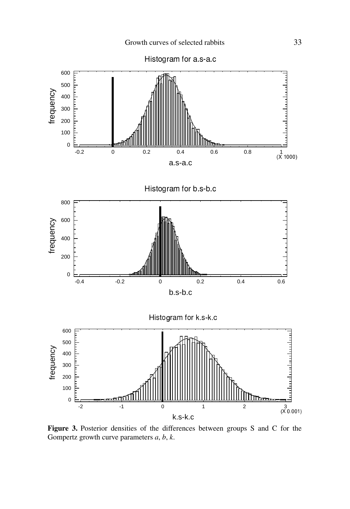

**Figure 3.** Posterior densities of the differences between groups S and C for the Gompertz growth curve parameters *a*, *b*, *k*.

k.s-k.c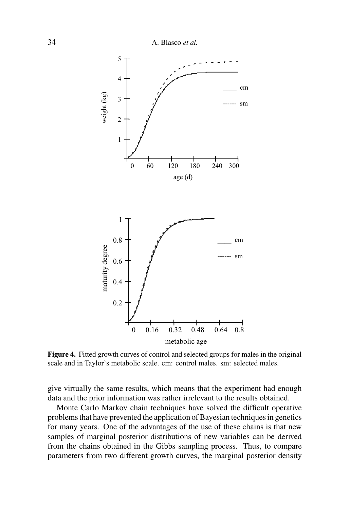

**Figure 4.** Fitted growth curves of control and selected groups for males in the original scale and in Taylor's metabolic scale. cm: control males. sm: selected males.

give virtually the same results, which means that the experiment had enough data and the prior information was rather irrelevant to the results obtained.

Monte Carlo Markov chain techniques have solved the difficult operative problems that have prevented the application of Bayesian techniques in genetics for many years. One of the advantages of the use of these chains is that new samples of marginal posterior distributions of new variables can be derived from the chains obtained in the Gibbs sampling process. Thus, to compare parameters from two different growth curves, the marginal posterior density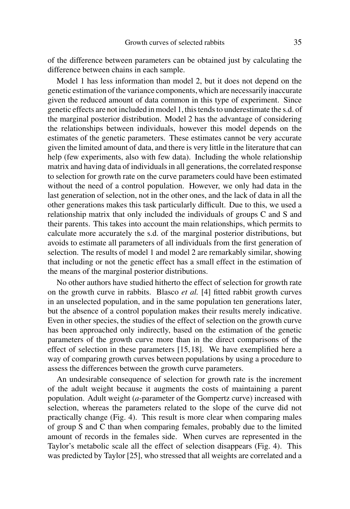of the difference between parameters can be obtained just by calculating the difference between chains in each sample.

Model 1 has less information than model 2, but it does not depend on the genetic estimation of the variance components, which are necessarily inaccurate given the reduced amount of data common in this type of experiment. Since genetic effects are not included in model 1, this tends to underestimate the s.d. of the marginal posterior distribution. Model 2 has the advantage of considering the relationships between individuals, however this model depends on the estimates of the genetic parameters. These estimates cannot be very accurate given the limited amount of data, and there is very little in the literature that can help (few experiments, also with few data). Including the whole relationship matrix and having data of individuals in all generations, the correlated response to selection for growth rate on the curve parameters could have been estimated without the need of a control population. However, we only had data in the last generation of selection, not in the other ones, and the lack of data in all the other generations makes this task particularly difficult. Due to this, we used a relationship matrix that only included the individuals of groups C and S and their parents. This takes into account the main relationships, which permits to calculate more accurately the s.d. of the marginal posterior distributions, but avoids to estimate all parameters of all individuals from the first generation of selection. The results of model 1 and model 2 are remarkably similar, showing that including or not the genetic effect has a small effect in the estimation of the means of the marginal posterior distributions.

No other authors have studied hitherto the effect of selection for growth rate on the growth curve in rabbits. Blasco *et al.* [4] fitted rabbit growth curves in an unselected population, and in the same population ten generations later, but the absence of a control population makes their results merely indicative. Even in other species, the studies of the effect of selection on the growth curve has been approached only indirectly, based on the estimation of the genetic parameters of the growth curve more than in the direct comparisons of the effect of selection in these parameters [15,18]. We have exemplified here a way of comparing growth curves between populations by using a procedure to assess the differences between the growth curve parameters.

An undesirable consequence of selection for growth rate is the increment of the adult weight because it augments the costs of maintaining a parent population. Adult weight (*a*-parameter of the Gompertz curve) increased with selection, whereas the parameters related to the slope of the curve did not practically change (Fig. 4). This result is more clear when comparing males of group S and C than when comparing females, probably due to the limited amount of records in the females side. When curves are represented in the Taylor's metabolic scale all the effect of selection disappears (Fig. 4). This was predicted by Taylor [25], who stressed that all weights are correlated and a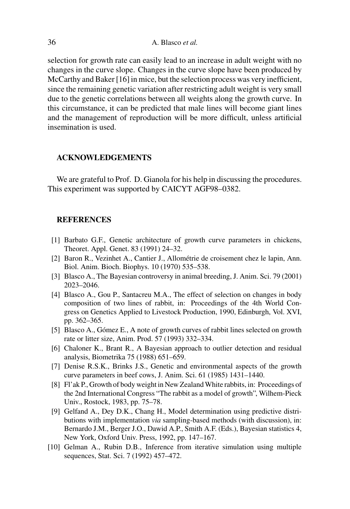selection for growth rate can easily lead to an increase in adult weight with no changes in the curve slope. Changes in the curve slope have been produced by McCarthy and Baker [16] in mice, but the selection process was very inefficient, since the remaining genetic variation after restricting adult weight is very small due to the genetic correlations between all weights along the growth curve. In this circumstance, it can be predicted that male lines will become giant lines and the management of reproduction will be more difficult, unless artificial insemination is used.

#### **ACKNOWLEDGEMENTS**

We are grateful to Prof. D. Gianola for his help in discussing the procedures. This experiment was supported by CAICYT AGF98–0382.

# **REFERENCES**

- [1] Barbato G.F., Genetic architecture of growth curve parameters in chickens, Theoret. Appl. Genet. 83 (1991) 24–32.
- [2] Baron R., Vezinhet A., Cantier J., Allométrie de croisement chez le lapin, Ann. Biol. Anim. Bioch. Biophys. 10 (1970) 535–538.
- [3] Blasco A., The Bayesian controversy in animal breeding, J. Anim. Sci. 79 (2001) 2023–2046.
- [4] Blasco A., Gou P., Santacreu M.A., The effect of selection on changes in body composition of two lines of rabbit, in: Proceedings of the 4th World Congress on Genetics Applied to Livestock Production, 1990, Edinburgh, Vol. XVI, pp. 362–365.
- [5] Blasco A., Gómez E., A note of growth curves of rabbit lines selected on growth rate or litter size, Anim. Prod. 57 (1993) 332–334.
- [6] Chaloner K., Brant R., A Bayesian approach to outlier detection and residual analysis, Biometrika 75 (1988) 651–659.
- [7] Denise R.S.K., Brinks J.S., Genetic and environmental aspects of the growth curve parameters in beef cows, J. Anim. Sci. 61 (1985) 1431–1440.
- [8] Fl'ak P., Growth of body weight in New ZealandWhite rabbits, in: Proceedings of the 2nd International Congress "The rabbit as a model of growth", Wilhem-Pieck Univ., Rostock, 1983, pp. 75–78.
- [9] Gelfand A., Dey D.K., Chang H., Model determination using predictive distributions with implementation *via* sampling-based methods (with discussion), in: Bernardo J.M., Berger J.O., Dawid A.P., Smith A.F. (Eds.), Bayesian statistics 4, New York, Oxford Univ. Press, 1992, pp. 147–167.
- [10] Gelman A., Rubin D.B., Inference from iterative simulation using multiple sequences, Stat. Sci. 7 (1992) 457–472.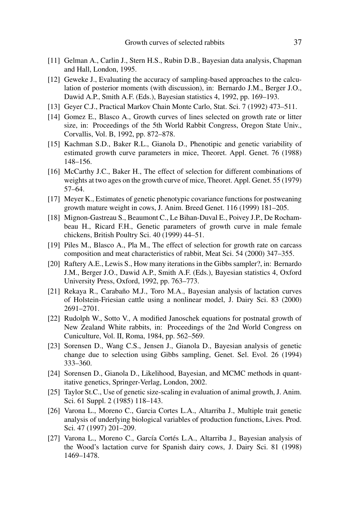- [11] Gelman A., Carlin J., Stern H.S., Rubin D.B., Bayesian data analysis, Chapman and Hall, London, 1995.
- [12] Geweke J., Evaluating the accuracy of sampling-based approaches to the calculation of posterior moments (with discussion), in: Bernardo J.M., Berger J.O., Dawid A.P., Smith A.F. (Eds.), Bayesian statistics 4, 1992, pp. 169–193.
- [13] Geyer C.J., Practical Markov Chain Monte Carlo, Stat. Sci. 7 (1992) 473–511.
- [14] Gomez E., Blasco A., Growth curves of lines selected on growth rate or litter size, in: Proceedings of the 5th World Rabbit Congress, Oregon State Univ., Corvallis, Vol. B, 1992, pp. 872–878.
- [15] Kachman S.D., Baker R.L., Gianola D., Phenotipic and genetic variability of estimated growth curve parameters in mice, Theoret. Appl. Genet. 76 (1988) 148–156.
- [16] McCarthy J.C., Baker H., The effect of selection for different combinations of weights at two ages on the growth curve of mice, Theoret. Appl. Genet. 55 (1979) 57–64.
- [17] Meyer K., Estimates of genetic phenotypic covariance functions for postweaning growth mature weight in cows, J. Anim. Breed Genet. 116 (1999) 181–205.
- [18] Mignon-Gastreau S., Beaumont C., Le Bihan-Duval E., Poivey J.P., De Rochambeau H., Ricard F.H., Genetic parameters of growth curve in male female chickens, British Poultry Sci. 40 (1999) 44–51.
- [19] Piles M., Blasco A., Pla M., The effect of selection for growth rate on carcass composition and meat characteristics of rabbit, Meat Sci. 54 (2000) 347–355.
- [20] Raftery A.E., Lewis S., How many iterations in the Gibbs sampler?, in: Bernardo J.M., Berger J.O., Dawid A.P., Smith A.F. (Eds.), Bayesian statistics 4, Oxford University Press, Oxford, 1992, pp. 763–773.
- [21] Rekaya R., Carabaño M.J., Toro M.A., Bayesian analysis of lactation curves of Holstein-Friesian cattle using a nonlinear model, J. Dairy Sci. 83 (2000) 2691–2701.
- [22] Rudolph W., Sotto V., A modified Janoschek equations for postnatal growth of New Zealand White rabbits, in: Proceedings of the 2nd World Congress on Cuniculture, Vol. II, Roma, 1984, pp. 562–569.
- [23] Sorensen D., Wang C.S., Jensen J., Gianola D., Bayesian analysis of genetic change due to selection using Gibbs sampling, Genet. Sel. Evol. 26 (1994) 333–360.
- [24] Sorensen D., Gianola D., Likelihood, Bayesian, and MCMC methods in quantitative genetics, Springer-Verlag, London, 2002.
- [25] Taylor St.C., Use of genetic size-scaling in evaluation of animal growth, J. Anim. Sci. 61 Suppl. 2 (1985) 118–143.
- [26] Varona L., Moreno C., Garcia Cortes L.A., Altarriba J., Multiple trait genetic analysis of underlying biological variables of production functions, Lives. Prod. Sci. 47 (1997) 201–209.
- [27] Varona L., Moreno C., García Cortés L.A., Altarriba J., Bayesian analysis of the Wood's lactation curve for Spanish dairy cows, J. Dairy Sci. 81 (1998) 1469–1478.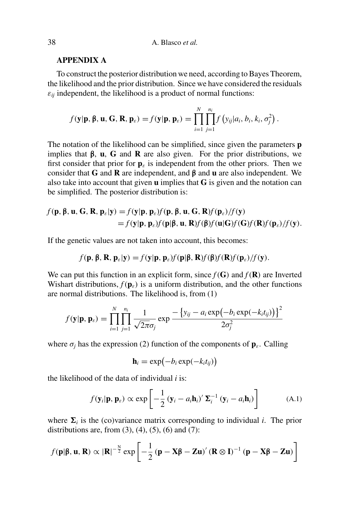#### **APPENDIX A**

To construct the posterior distribution we need, according to Bayes Theorem, the likelihood and the prior distribution. Since we have considered the residuals  $\varepsilon_{ij}$  independent, the likelihood is a product of normal functions:

$$
f(\mathbf{y}|\mathbf{p}, \boldsymbol{\beta}, \mathbf{u}, \mathbf{G}, \mathbf{R}, \mathbf{p}_{\varepsilon}) = f(\mathbf{y}|\mathbf{p}, \mathbf{p}_{\varepsilon}) = \prod_{i=1}^{N} \prod_{j=1}^{n_i} f\left(y_{ij}|a_i, b_i, k_i, \sigma_j^2\right).
$$

The notation of the likelihood can be simplified, since given the parameters **p** implies that β, **u**, **G** and **R** are also given. For the prior distributions, we first consider that prior for  $\mathbf{p}_{\varepsilon}$  is independent from the other priors. Then we consider that **G** and **R** are independent, and β and **u** are also independent. We also take into account that given **u** implies that **G** is given and the notation can be simplified. The posterior distribution is:

$$
f(\mathbf{p}, \boldsymbol{\beta}, \mathbf{u}, \mathbf{G}, \mathbf{R}, \mathbf{p}_{\varepsilon} | \mathbf{y}) = f(\mathbf{y} | \mathbf{p}, \mathbf{p}_{\varepsilon}) f(\mathbf{p}, \boldsymbol{\beta}, \mathbf{u}, \mathbf{G}, \mathbf{R}) f(\mathbf{p}_{\varepsilon}) / f(\mathbf{y})
$$
  
=  $f(\mathbf{y} | \mathbf{p}, \mathbf{p}_{\varepsilon}) f(\mathbf{p} | \boldsymbol{\beta}, \mathbf{u}, \mathbf{R}) f(\boldsymbol{\beta}) f(\mathbf{u} | \mathbf{G}) f(\mathbf{G}) f(\mathbf{R}) f(\mathbf{p}_{\varepsilon}) / f(\mathbf{y}).$ 

If the genetic values are not taken into account, this becomes:

$$
f(\mathbf{p}, \mathbf{\beta}, \mathbf{R}, \mathbf{p}_{\varepsilon}|\mathbf{y}) = f(\mathbf{y}|\mathbf{p}, \mathbf{p}_{\varepsilon}) f(\mathbf{p}|\mathbf{\beta}, \mathbf{R}) f(\mathbf{\beta}) f(\mathbf{R}) f(\mathbf{p}_{\varepsilon}) / f(\mathbf{y}).
$$

We can put this function in an explicit form, since  $f(G)$  and  $f(\mathbf{R})$  are Inverted Wishart distributions,  $f(\mathbf{p}_\varepsilon)$  is a uniform distribution, and the other functions are normal distributions. The likelihood is, from (1)

$$
f(\mathbf{y}|\mathbf{p}, \mathbf{p}_{\varepsilon}) = \prod_{i=1}^{N} \prod_{j=1}^{n_i} \frac{1}{\sqrt{2\pi}\sigma_j} \exp \frac{-\left\{y_{ij} - a_i \exp\left(-b_i \exp(-k_i t_{ij})\right)\right\}^2}{2\sigma_j^2}
$$

where  $\sigma_i$  has the expression (2) function of the components of  $\mathbf{p}_{\varepsilon}$ . Calling

$$
\mathbf{h}_i = \exp(-b_i \exp(-k_i t_{ij}))
$$

the likelihood of the data of individual *i* is:

$$
f(\mathbf{y}_i|\mathbf{p}, \mathbf{p}_\varepsilon) \propto \exp\left[-\frac{1}{2}(\mathbf{y}_i - a_i \mathbf{h}_i)' \Sigma_i^{-1} (\mathbf{y}_i - a_i \mathbf{h}_i)\right]
$$
 (A.1)

where  $\Sigma_i$  is the (co)variance matrix corresponding to individual *i*. The prior distributions are, from  $(3)$ ,  $(4)$ ,  $(5)$ ,  $(6)$  and  $(7)$ :

$$
f(\mathbf{p}|\mathbf{\beta}, \mathbf{u}, \mathbf{R}) \propto |\mathbf{R}|^{-\frac{N}{2}} \exp \left[ -\frac{1}{2} (\mathbf{p} - \mathbf{X}\mathbf{\beta} - \mathbf{Z}\mathbf{u})' (\mathbf{R} \otimes \mathbf{I})^{-1} (\mathbf{p} - \mathbf{X}\mathbf{\beta} - \mathbf{Z}\mathbf{u}) \right]
$$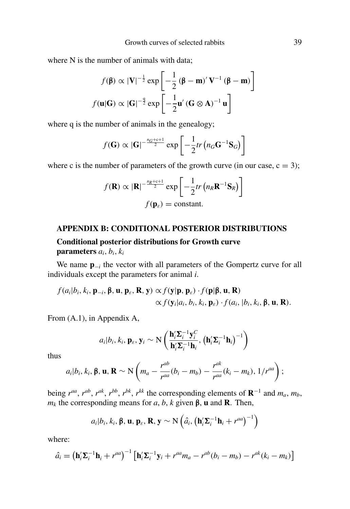where N is the number of animals with data;

$$
f(\mathbf{\beta}) \propto |\mathbf{V}|^{-\frac{1}{2}} \exp\left[-\frac{1}{2}(\mathbf{\beta} - \mathbf{m})' \mathbf{V}^{-1}(\mathbf{\beta} - \mathbf{m})\right]
$$

$$
f(\mathbf{u}|\mathbf{G}) \propto |\mathbf{G}|^{-\frac{q}{2}} \exp\left[-\frac{1}{2}\mathbf{u}'(\mathbf{G} \otimes \mathbf{A})^{-1}\mathbf{u}\right]
$$

where q is the number of animals in the genealogy;

$$
f(\mathbf{G}) \propto |\mathbf{G}|^{-\frac{n_G+c+1}{2}} \exp \left[-\frac{1}{2}tr \left(n_G \mathbf{G}^{-1} \mathbf{S}_G\right)\right]
$$

where c is the number of parameters of the growth curve (in our case,  $c = 3$ );

$$
f(\mathbf{R}) \propto |\mathbf{R}|^{-\frac{n_R + c + 1}{2}} \exp\left[-\frac{1}{2}tr\left(n_R \mathbf{R}^{-1} \mathbf{S}_R\right)\right]
$$

$$
f(\mathbf{p}_\varepsilon) = \text{constant}.
$$

#### **APPENDIX B: CONDITIONAL POSTERIOR DISTRIBUTIONS**

# **Conditional posterior distributions for Growth curve**

# **parameters**  $a_i$ ,  $b_i$ ,  $k_i$

We name **p**−*<sup>i</sup>* the vector with all parameters of the Gompertz curve for all individuals except the parameters for animal *i*.

$$
f(a_i|b_i, k_i, \mathbf{p}_{-i}, \boldsymbol{\beta}, \mathbf{u}, \mathbf{p}_{\varepsilon}, \mathbf{R}, \mathbf{y}) \propto f(\mathbf{y}|\mathbf{p}, \mathbf{p}_{\varepsilon}) \cdot f(\mathbf{p}|\boldsymbol{\beta}, \mathbf{u}, \mathbf{R}) \times f(\mathbf{y}_i|a_i, b_i, k_i, \mathbf{p}_{\varepsilon}) \cdot f(a_i, |b_i, k_i, \boldsymbol{\beta}, \mathbf{u}, \mathbf{R}).
$$

From (A.1), in Appendix A,

$$
a_i|b_i, k_i, \mathbf{p}_{\varepsilon}, \mathbf{y}_i \sim N\left(\frac{\mathbf{h}_i' \mathbf{\Sigma}_i^{-1} \mathbf{y}_i^C}{\mathbf{h}_i' \mathbf{\Sigma}_i^{-1} \mathbf{h}_i}, (\mathbf{h}_i' \mathbf{\Sigma}_i^{-1} \mathbf{h}_i)^{-1}\right)
$$

thus

$$
a_i|b_i, k_i, \beta, \mathbf{u}, \mathbf{R} \sim \mathcal{N}\left(m_a - \frac{r^{ab}}{r^{aa}}(b_i - m_b) - \frac{r^{ak}}{r^{aa}}(k_i - m_k), 1/r^{aa}\right);
$$

being  $r^{aa}$ ,  $r^{ab}$ ,  $r^{ak}$ ,  $r^{bb}$ ,  $r^{bk}$ ,  $r^{kk}$  the corresponding elements of  $\mathbf{R}^{-1}$  and  $m_a$ ,  $m_b$ , *m<sub>k</sub>* the corresponding means for *a*, *b*, *k* given β, **u** and **R**. Then,

$$
a_i|b_i, k_i, \beta, \mathbf{u}, \mathbf{p}_{\varepsilon}, \mathbf{R}, \mathbf{y} \sim N\left(\hat{a}_i, \left(\mathbf{h}_i^{\prime} \boldsymbol{\Sigma}_i^{-1} \mathbf{h}_i + r^{aa}\right)^{-1}\right)
$$

where:

$$
\hat{a}_i = \left(\mathbf{h}_i'\mathbf{\Sigma}_i^{-1}\mathbf{h}_i + r^{aa}\right)^{-1} \left[\mathbf{h}_i'\mathbf{\Sigma}_i^{-1}\mathbf{y}_i + r^{aa}m_a - r^{ab}(b_i - m_b) - r^{ak}(k_i - m_k)\right]
$$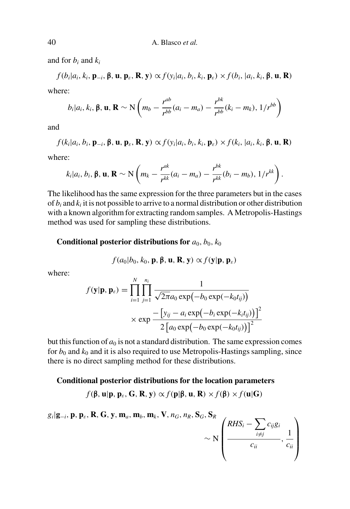and for *b<sup>i</sup>* and *k<sup>i</sup>*

$$
f(b_i|a_i, k_i, \mathbf{p}_{-i}, \boldsymbol{\beta}, \mathbf{u}, \mathbf{p}_{\varepsilon}, \mathbf{R}, \mathbf{y}) \propto f(y_i|a_i, b_i, k_i, \mathbf{p}_{\varepsilon}) \times f(b_i, |a_i, k_i, \boldsymbol{\beta}, \mathbf{u}, \mathbf{R})
$$

where:

$$
b_i|a_i, k_i, \beta, \mathbf{u}, \mathbf{R} \sim \mathbf{N} \left( m_b - \frac{r^{ab}}{r^{bb}} (a_i - m_a) - \frac{r^{bk}}{r^{bb}} (k_i - m_k), \frac{1}{r^{bb}} \right)
$$

and

$$
f(k_i|a_i, b_i, \mathbf{p}_{-i}, \boldsymbol{\beta}, \mathbf{u}, \mathbf{p}_{\varepsilon}, \mathbf{R}, \mathbf{y}) \propto f(y_i|a_i, b_i, k_i, \mathbf{p}_{\varepsilon}) \times f(k_i, |a_i, k_i, \boldsymbol{\beta}, \mathbf{u}, \mathbf{R})
$$

where:

$$
k_i|a_i, b_i, \boldsymbol{\beta}, \mathbf{u}, \mathbf{R} \sim \mathrm{N}\left(m_k - \frac{r^{ak}}{r^{kk}}(a_i - m_a) - \frac{r^{bk}}{r^{kk}}(b_i - m_b), \frac{1}{r^{kk}}\right).
$$

The likelihood hasthe same expression for the three parameters but in the cases of  $b_i$  and  $k_i$  it is not possible to arrive to a normal distribution or other distribution with a known algorithm for extracting random samples. A Metropolis-Hastings method was used for sampling these distributions.

#### **Conditional posterior distributions for**  $a_0$ ,  $b_0$ ,  $k_0$

$$
f(a_0|b_0, k_0, \mathbf{p}, \beta, \mathbf{u}, \mathbf{R}, \mathbf{y}) \propto f(\mathbf{y}|\mathbf{p}, \mathbf{p}_\varepsilon)
$$

where:

$$
f(\mathbf{y}|\mathbf{p}, \mathbf{p}_{\varepsilon}) = \prod_{i=1}^{N} \prod_{j=1}^{n_i} \frac{1}{\sqrt{2\pi a_0 \exp(-b_0 \exp(-k_0 t_{ij}))}}
$$
  
 
$$
\times \exp \frac{-[y_{ij} - a_i \exp(-b_i \exp(-k_i t_{ij}))]}{2[a_0 \exp(-b_0 \exp(-k_0 t_{ij}))]^2}
$$

but this function of  $a_0$  is not a standard distribution. The same expression comes for  $b_0$  and  $k_0$  and it is also required to use Metropolis-Hastings sampling, since there is no direct sampling method for these distributions.

#### **Conditional posterior distributions for the location parameters**

*f*(β, **u**|**p**, **p**<sub>ε</sub>, **G**, **R**, **y**)  $\propto$  *f*(**p**|β, **u**, **R**)  $\times$  *f*(β)  $\times$  *f*(**u**|**G**)

*gi* |**g**−*<sup>i</sup>*, **p**, **p**ε, **R**, **G**, **y**, **m***a*, **m***b*, **m***k*, **V**, *nG*, *nR*, **S***G*, **S***<sup>R</sup>*  $\sim$  N  $\sqrt{ }$  $\vert$  $RHS_i - \sum$  $i \neq j$ *cijg<sup>i</sup>*  $\frac{c_{ij}}{c_{ii}}$ , 1 *cii*  $\overline{ }$  $\Bigg\}$